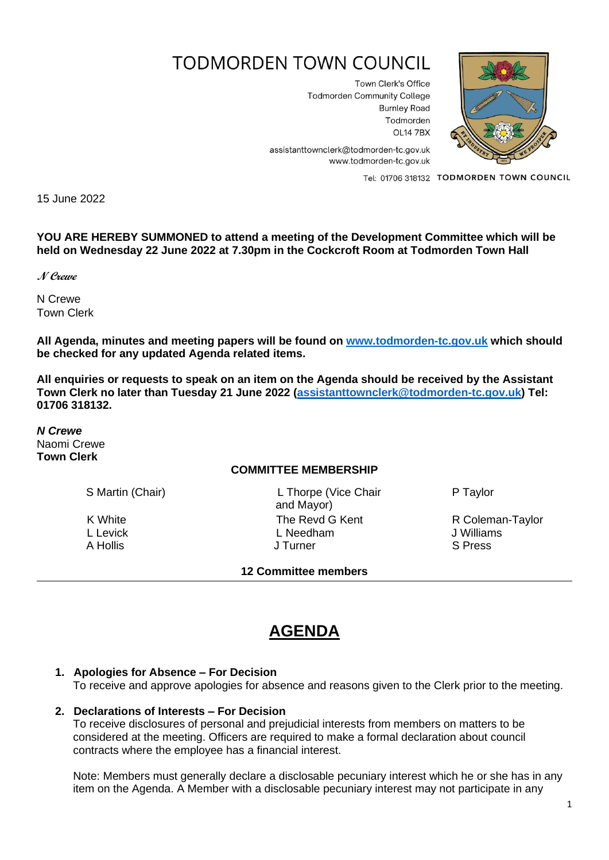# **TODMORDEN TOWN COUNCIL**

Town Clerk's Office **Todmorden Community College Burnley Road** Todmorden **OL14 7BX** 



assistanttownclerk@todmorden-tc.gov.uk www.todmorden-tc.gov.uk

Tel: 01706 318132 TODMORDEN TOWN COUNCIL

15 June 2022

**YOU ARE HEREBY SUMMONED to attend a meeting of the Development Committee which will be held on Wednesday 22 June 2022 at 7.30pm in the Cockcroft Room at Todmorden Town Hall**

**N Crewe**

N Crewe Town Clerk

**All Agenda, minutes and meeting papers will be found on [www.todmorden-tc.gov.uk](http://www.todmorden-tc.gov.uk/) which should be checked for any updated Agenda related items.**

**All enquiries or requests to speak on an item on the Agenda should be received by the Assistant Town Clerk no later than Tuesday 21 June 2022 [\(assistanttownclerk@todmorden-tc.gov.uk\)](mailto:assistanttownclerk@todmorden-tc.gov.uk) Tel: 01706 318132.**

*N Crewe* Naomi Crewe **Town Clerk**

#### **COMMITTEE MEMBERSHIP**

S Martin (Chair) L Thorpe (Vice Chair and Mayor) K White **The Revd G Kent** R Coleman-Taylor<br>
L Levick L Levick L Needham L Needham J Williams L Levick **Letter Controller L** Needham **Controller L** Needham **J** Williams A Hollis **A Hollis A Hollis A Hollis A Hollis S** Press

**12 Committee members** 

P Taylor

## **AGENDA**

### **1. Apologies for Absence – For Decision**

To receive and approve apologies for absence and reasons given to the Clerk prior to the meeting.

#### **2. Declarations of Interests – For Decision**

To receive disclosures of personal and prejudicial interests from members on matters to be considered at the meeting. Officers are required to make a formal declaration about council contracts where the employee has a financial interest.

Note: Members must generally declare a disclosable pecuniary interest which he or she has in any item on the Agenda. A Member with a disclosable pecuniary interest may not participate in any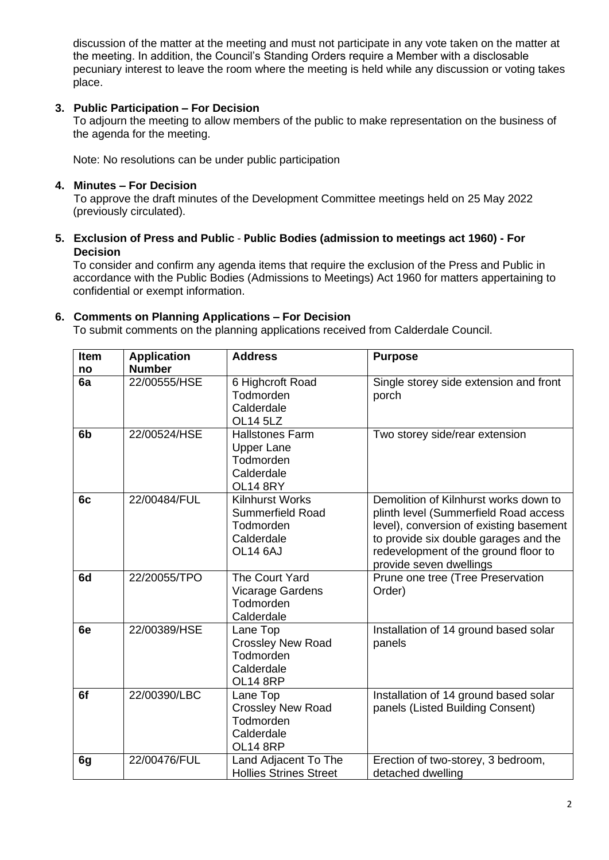discussion of the matter at the meeting and must not participate in any vote taken on the matter at the meeting. In addition, the Council's Standing Orders require a Member with a disclosable pecuniary interest to leave the room where the meeting is held while any discussion or voting takes place.

#### **3. Public Participation – For Decision**

To adjourn the meeting to allow members of the public to make representation on the business of the agenda for the meeting.

Note: No resolutions can be under public participation

#### **4. Minutes – For Decision**

To approve the draft minutes of the Development Committee meetings held on 25 May 2022 (previously circulated).

#### **5. Exclusion of Press and Public** - **Public Bodies (admission to meetings act 1960) - For Decision**

To consider and confirm any agenda items that require the exclusion of the Press and Public in accordance with the Public Bodies (Admissions to Meetings) Act 1960 for matters appertaining to confidential or exempt information.

#### **6. Comments on Planning Applications – For Decision**

To submit comments on the planning applications received from Calderdale Council.

| <b>Item</b>    | <b>Application</b> | <b>Address</b>                                                                            | <b>Purpose</b>                                                                                                                                                                                                                        |
|----------------|--------------------|-------------------------------------------------------------------------------------------|---------------------------------------------------------------------------------------------------------------------------------------------------------------------------------------------------------------------------------------|
| no             | <b>Number</b>      |                                                                                           |                                                                                                                                                                                                                                       |
| 6a             | 22/00555/HSE       | 6 Highcroft Road<br>Todmorden<br>Calderdale<br><b>OL14 5LZ</b>                            | Single storey side extension and front<br>porch                                                                                                                                                                                       |
| 6 <sub>b</sub> | 22/00524/HSE       | <b>Hallstones Farm</b><br><b>Upper Lane</b><br>Todmorden<br>Calderdale<br><b>OL14 8RY</b> | Two storey side/rear extension                                                                                                                                                                                                        |
| 6c             | 22/00484/FUL       | <b>Kilnhurst Works</b><br><b>Summerfield Road</b><br>Todmorden<br>Calderdale<br>OL14 6AJ  | Demolition of Kilnhurst works down to<br>plinth level (Summerfield Road access<br>level), conversion of existing basement<br>to provide six double garages and the<br>redevelopment of the ground floor to<br>provide seven dwellings |
| 6d             | 22/20055/TPO       | The Court Yard<br>Vicarage Gardens<br>Todmorden<br>Calderdale                             | Prune one tree (Tree Preservation<br>Order)                                                                                                                                                                                           |
| 6e             | 22/00389/HSE       | Lane Top<br><b>Crossley New Road</b><br>Todmorden<br>Calderdale<br><b>OL14 8RP</b>        | Installation of 14 ground based solar<br>panels                                                                                                                                                                                       |
| 6f             | 22/00390/LBC       | Lane Top<br><b>Crossley New Road</b><br>Todmorden<br>Calderdale<br><b>OL14 8RP</b>        | Installation of 14 ground based solar<br>panels (Listed Building Consent)                                                                                                                                                             |
| 6g             | 22/00476/FUL       | Land Adjacent To The<br><b>Hollies Strines Street</b>                                     | Erection of two-storey, 3 bedroom,<br>detached dwelling                                                                                                                                                                               |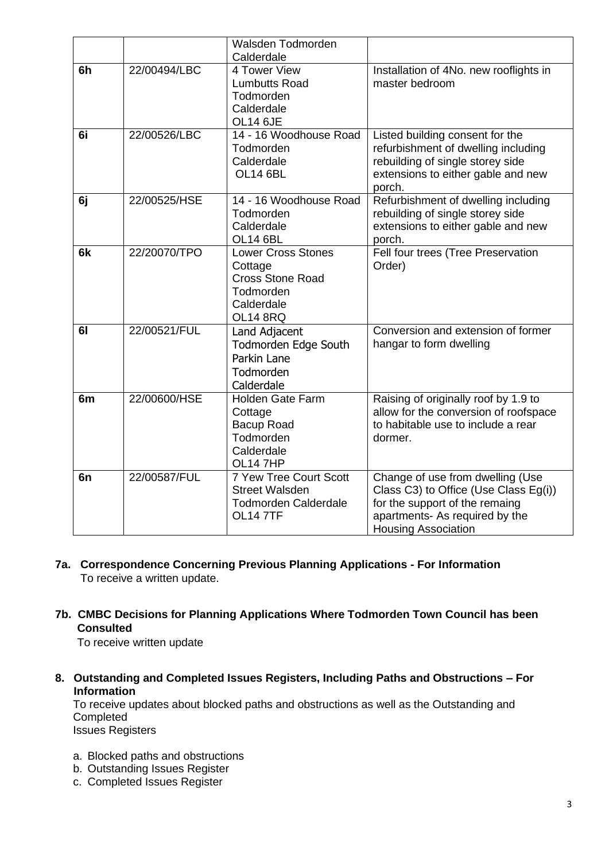|                |              | Walsden Todmorden                                                                                             |                                                                                                                                                                             |
|----------------|--------------|---------------------------------------------------------------------------------------------------------------|-----------------------------------------------------------------------------------------------------------------------------------------------------------------------------|
|                |              | Calderdale                                                                                                    |                                                                                                                                                                             |
| 6h             | 22/00494/LBC | 4 Tower View<br><b>Lumbutts Road</b><br>Todmorden<br>Calderdale<br><b>OL14 6JE</b>                            | Installation of 4No. new rooflights in<br>master bedroom                                                                                                                    |
| 6i             | 22/00526/LBC | 14 - 16 Woodhouse Road<br>Todmorden<br>Calderdale<br><b>OL14 6BL</b>                                          | Listed building consent for the<br>refurbishment of dwelling including<br>rebuilding of single storey side<br>extensions to either gable and new<br>porch.                  |
| 6j             | 22/00525/HSE | 14 - 16 Woodhouse Road<br>Todmorden<br>Calderdale<br>OL14 6BL                                                 | Refurbishment of dwelling including<br>rebuilding of single storey side<br>extensions to either gable and new<br>porch.                                                     |
| 6k             | 22/20070/TPO | <b>Lower Cross Stones</b><br>Cottage<br><b>Cross Stone Road</b><br>Todmorden<br>Calderdale<br><b>OL14 8RQ</b> | Fell four trees (Tree Preservation<br>Order)                                                                                                                                |
| 61             | 22/00521/FUL | Land Adjacent<br>Todmorden Edge South<br>Parkin Lane<br>Todmorden<br>Calderdale                               | Conversion and extension of former<br>hangar to form dwelling                                                                                                               |
| 6m             | 22/00600/HSE | Holden Gate Farm<br>Cottage<br><b>Bacup Road</b><br>Todmorden<br>Calderdale<br>OL14 7HP                       | Raising of originally roof by 1.9 to<br>allow for the conversion of roofspace<br>to habitable use to include a rear<br>dormer.                                              |
| 6 <sub>n</sub> | 22/00587/FUL | 7 Yew Tree Court Scott<br><b>Street Walsden</b><br><b>Todmorden Calderdale</b><br><b>OL147TF</b>              | Change of use from dwelling (Use<br>Class C3) to Office (Use Class Eg(i))<br>for the support of the remaing<br>apartments- As required by the<br><b>Housing Association</b> |

#### **7a. Correspondence Concerning Previous Planning Applications - For Information** To receive a written update.

**7b. CMBC Decisions for Planning Applications Where Todmorden Town Council has been Consulted**

To receive written update

**8. Outstanding and Completed Issues Registers, Including Paths and Obstructions – For Information**

To receive updates about blocked paths and obstructions as well as the Outstanding and **Completed** Issues Registers

- a. Blocked paths and obstructions
- b. Outstanding Issues Register
- c. Completed Issues Register